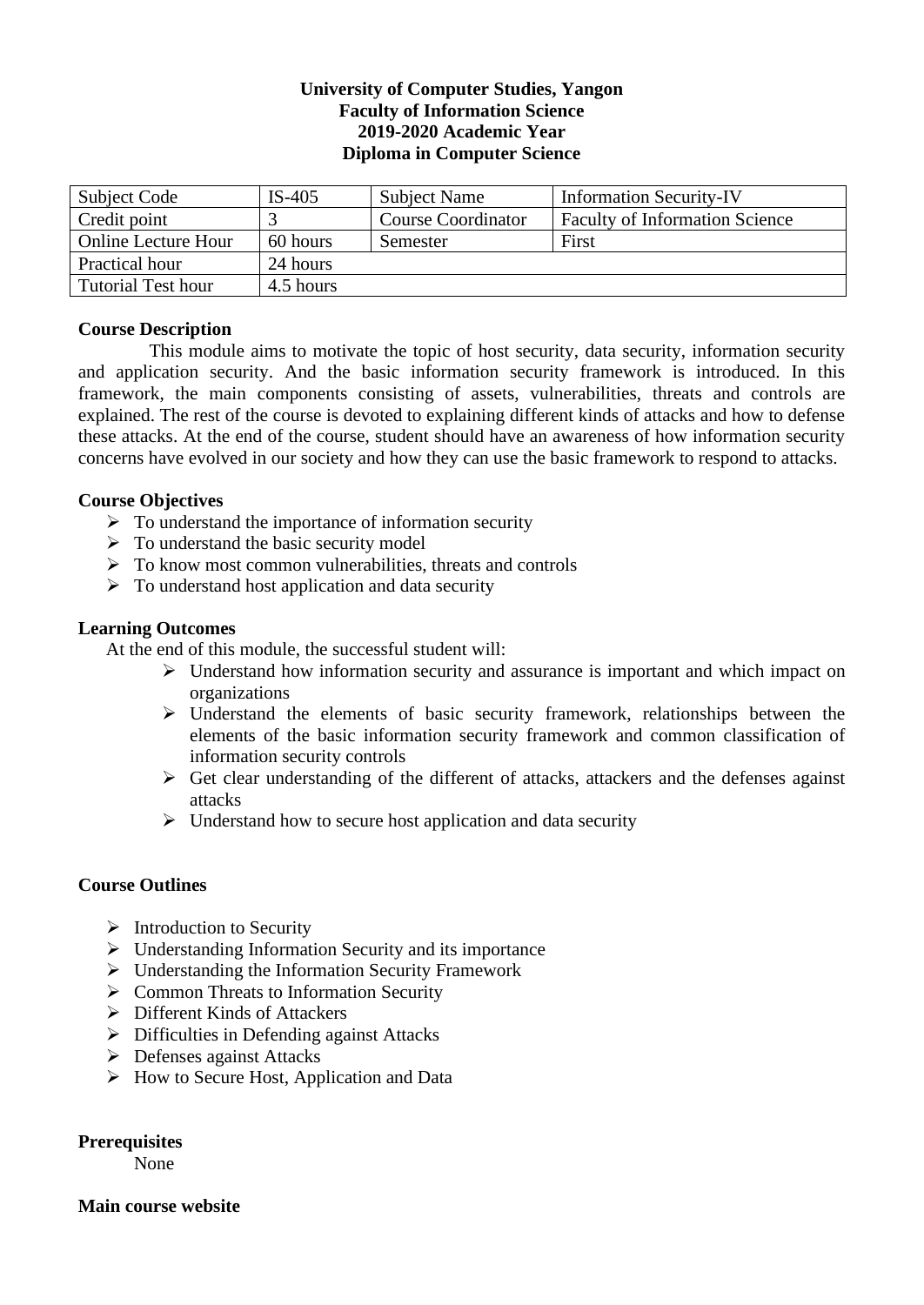# **University of Computer Studies, Yangon Faculty of Information Science 2019-2020 Academic Year Diploma in Computer Science**

| Subject Code              | $IS-405$  | Subject Name              | <b>Information Security-IV</b>        |
|---------------------------|-----------|---------------------------|---------------------------------------|
| Credit point              |           | <b>Course Coordinator</b> | <b>Faculty of Information Science</b> |
| Online Lecture Hour       | 60 hours  | Semester                  | First                                 |
| Practical hour            | 24 hours  |                           |                                       |
| <b>Tutorial Test hour</b> | 4.5 hours |                           |                                       |

# **Course Description**

This module aims to motivate the topic of host security, data security, information security and application security. And the basic information security framework is introduced. In this framework, the main components consisting of assets, vulnerabilities, threats and controls are explained. The rest of the course is devoted to explaining different kinds of attacks and how to defense these attacks. At the end of the course, student should have an awareness of how information security concerns have evolved in our society and how they can use the basic framework to respond to attacks.

# **Course Objectives**

- $\triangleright$  To understand the importance of information security
- $\triangleright$  To understand the basic security model
- $\triangleright$  To know most common vulnerabilities, threats and controls
- $\triangleright$  To understand host application and data security

### **Learning Outcomes**

At the end of this module, the successful student will:

- ➢ Understand how information security and assurance is important and which impact on organizations
- ➢ Understand the elements of basic security framework, relationships between the elements of the basic information security framework and common classification of information security controls
- $\triangleright$  Get clear understanding of the different of attacks, attackers and the defenses against attacks
- $\triangleright$  Understand how to secure host application and data security

### **Course Outlines**

- $\triangleright$  Introduction to Security
- ➢ Understanding Information Security and its importance
- ➢ Understanding the Information Security Framework
- ➢ Common Threats to Information Security
- ➢ Different Kinds of Attackers
- ➢ Difficulties in Defending against Attacks
- ➢ Defenses against Attacks
- ➢ How to Secure Host, Application and Data

### **Prerequisites**

None

**Main course website**